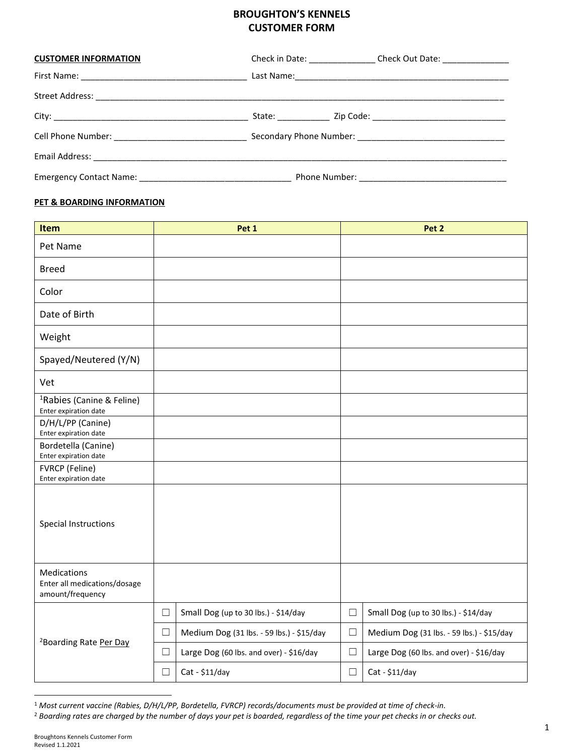## **BROUGHTON'S KENNELS CUSTOMER FORM**

| <b>CUSTOMER INFORMATION</b> | Check in Date: Check Out Date: |  |  |  |  |  |
|-----------------------------|--------------------------------|--|--|--|--|--|
|                             |                                |  |  |  |  |  |
|                             |                                |  |  |  |  |  |
|                             |                                |  |  |  |  |  |
|                             |                                |  |  |  |  |  |
|                             |                                |  |  |  |  |  |
|                             |                                |  |  |  |  |  |

## **PET & BOARDING INFORMATION**

| Item                                                            |        | Pet 1                                     |        | Pet 2                                     |
|-----------------------------------------------------------------|--------|-------------------------------------------|--------|-------------------------------------------|
| Pet Name                                                        |        |                                           |        |                                           |
| <b>Breed</b>                                                    |        |                                           |        |                                           |
| Color                                                           |        |                                           |        |                                           |
| Date of Birth                                                   |        |                                           |        |                                           |
| Weight                                                          |        |                                           |        |                                           |
| Spayed/Neutered (Y/N)                                           |        |                                           |        |                                           |
| Vet                                                             |        |                                           |        |                                           |
| <sup>1</sup> Rabies (Canine & Feline)<br>Enter expiration date  |        |                                           |        |                                           |
| D/H/L/PP (Canine)<br>Enter expiration date                      |        |                                           |        |                                           |
| Bordetella (Canine)<br>Enter expiration date                    |        |                                           |        |                                           |
| FVRCP (Feline)<br>Enter expiration date                         |        |                                           |        |                                           |
| <b>Special Instructions</b>                                     |        |                                           |        |                                           |
| Medications<br>Enter all medications/dosage<br>amount/frequency |        |                                           |        |                                           |
| <sup>2</sup> Boarding Rate Per Day                              | $\Box$ | Small Dog (up to 30 lbs.) - \$14/day      | $\Box$ | Small Dog (up to 30 lbs.) - \$14/day      |
|                                                                 | $\Box$ | Medium Dog (31 lbs. - 59 lbs.) - \$15/day | $\Box$ | Medium Dog (31 lbs. - 59 lbs.) - \$15/day |
|                                                                 | $\Box$ | Large Dog (60 lbs. and over) - \$16/day   | $\Box$ | Large Dog (60 lbs. and over) - \$16/day   |
|                                                                 | $\Box$ | $Cat - $11/day$                           | $\Box$ | $Cat - $11/day$                           |

<sup>1</sup> *Most current vaccine (Rabies, D/H/L/PP, Bordetella, FVRCP) records/documents must be provided at time of check-in.*

<sup>2</sup> *Boarding rates are charged by the number of days your pet is boarded, regardless of the time your pet checks in or checks out.*